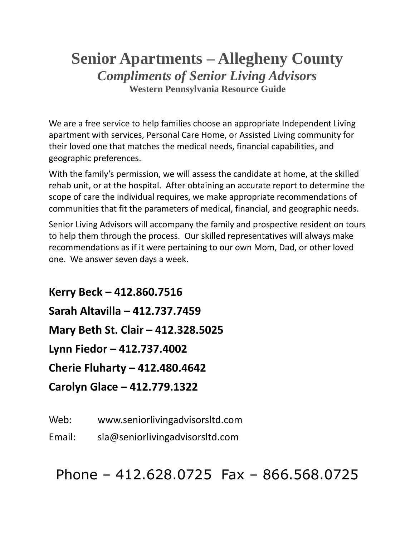# **Senior Apartments – Allegheny County** *Compliments of Senior Living Advisors* **Western Pennsylvania Resource Guide**

We are a free service to help families choose an appropriate Independent Living apartment with services, Personal Care Home, or Assisted Living community for their loved one that matches the medical needs, financial capabilities, and geographic preferences.

With the family's permission, we will assess the candidate at home, at the skilled rehab unit, or at the hospital. After obtaining an accurate report to determine the scope of care the individual requires, we make appropriate recommendations of communities that fit the parameters of medical, financial, and geographic needs.

Senior Living Advisors will accompany the family and prospective resident on tours to help them through the process. Our skilled representatives will always make recommendations as if it were pertaining to our own Mom, Dad, or other loved one. We answer seven days a week.

**Kerry Beck – 412.860.7516 Sarah Altavilla – 412.737.7459 Mary Beth St. Clair – 412.328.5025 Lynn Fiedor – 412.737.4002 Cherie Fluharty – 412.480.4642 Carolyn Glace – 412.779.1322**

Web: www.seniorlivingadvisorsltd.com

Email: sla@seniorlivingadvisorsltd.com

Phone – 412.628.0725 Fax – 866.568.0725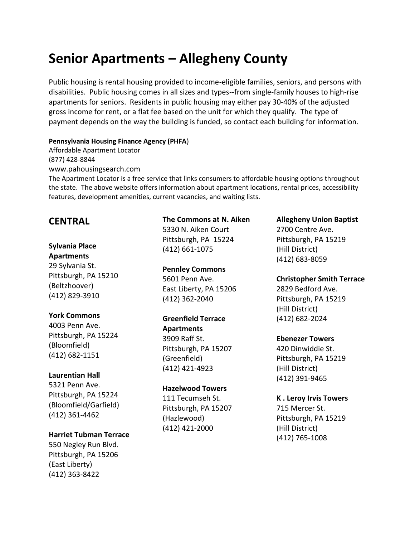# **Senior Apartments – Allegheny County**

Public housing is rental housing provided to income-eligible families, seniors, and persons with disabilities. Public housing comes in all sizes and types--from single-family houses to high-rise apartments for seniors. Residents in public housing may either pay 30-40% of the adjusted gross income for rent, or a flat fee based on the unit for which they qualify. The type of payment depends on the way the building is funded, so contact each building for information.

#### **Pennsylvania Housing Finance Agency (PHFA**)

Affordable Apartment Locator (877) 428-8844 www.pahousingsearch.com

The Apartment Locator is a free service that links consumers to affordable housing options throughout the state. The above website offers information about apartment locations, rental prices, accessibility features, development amenities, current vacancies, and waiting lists.

## **CENTRAL**

# **Sylvania Place**

**Apartments** 29 Sylvania St. Pittsburgh, PA 15210 (Beltzhoover) (412) 829-3910

### **York Commons**

4003 Penn Ave. Pittsburgh, PA 15224 (Bloomfield) (412) 682-1151

### **Laurentian Hall**

5321 Penn Ave. Pittsburgh, PA 15224 (Bloomfield/Garfield) (412) 361-4462

### **Harriet Tubman Terrace**

550 Negley Run Blvd. Pittsburgh, PA 15206 (East Liberty) (412) 363-8422

### **The Commons at N. Aiken**

5330 N. Aiken Court Pittsburgh, PA 15224 (412) 661-1075

### **Pennley Commons**

5601 Penn Ave. East Liberty, PA 15206 (412) 362-2040

### **Greenfield Terrace**

**Apartments** 3909 Raff St. Pittsburgh, PA 15207 (Greenfield) (412) 421-4923

### **Hazelwood Towers**

111 Tecumseh St. Pittsburgh, PA 15207 (Hazlewood) (412) 421-2000

### **Allegheny Union Baptist**

2700 Centre Ave. Pittsburgh, PA 15219 (Hill District) (412) 683-8059

### **Christopher Smith Terrace**

2829 Bedford Ave. Pittsburgh, PA 15219 (Hill District) (412) 682-2024

### **Ebenezer Towers**

420 Dinwiddie St. Pittsburgh, PA 15219 (Hill District) (412) 391-9465

### **K . Leroy Irvis Towers**

715 Mercer St. Pittsburgh, PA 15219 (Hill District) (412) 765-1008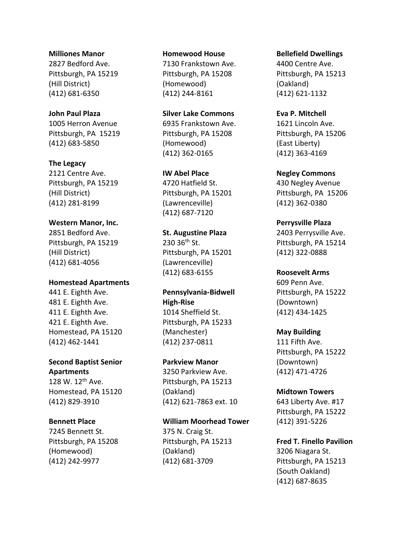#### **Milliones Manor**

2827 Bedford Ave. Pittsburgh, PA 15219 (Hill District) (412) 681-6350

### **John Paul Plaza**

1005 Herron Avenue Pittsburgh, PA 15219 (412) 683-5850

### **The Legacy**

2121 Centre Ave. Pittsburgh, PA 15219 (Hill District) (412) 281-8199

### **Western Manor, Inc.**

2851 Bedford Ave. Pittsburgh, PA 15219 (Hill District) (412) 681-4056

### **Homestead Apartments**

441 E. Eighth Ave. 481 E. Eighth Ave. 411 E. Eighth Ave. 421 E. Eighth Ave. Homestead, PA 15120 (412) 462-1441

### **Second Baptist Senior Apartments**

128 W. 12<sup>th</sup> Ave. Homestead, PA 15120 (412) 829-3910

### **Bennett Place**

7245 Bennett St. Pittsburgh, PA 15208 (Homewood) (412) 242-9977

#### **Homewood House**

7130 Frankstown Ave. Pittsburgh, PA 15208 (Homewood) (412) 244-8161

### **Silver Lake Commons**

6935 Frankstown Ave. Pittsburgh, PA 15208 (Homewood) (412) 362-0165

### **IW Abel Place**

4720 Hatfield St. Pittsburgh, PA 15201 (Lawrenceville) (412) 687-7120

### **St. Augustine Plaza**  $230$   $36^{th}$  St. Pittsburgh, PA 15201 (Lawrenceville) (412) 683-6155

**Pennsylvania-Bidwell High-Rise** 1014 Sheffield St. Pittsburgh, PA 15233 (Manchester) (412) 237-0811

### **Parkview Manor**

3250 Parkview Ave. Pittsburgh, PA 15213 (Oakland) (412) 621-7863 ext. 10

### **William Moorhead Tower** 375 N. Craig St.

Pittsburgh, PA 15213 (Oakland) (412) 681-3709

### **Bellefield Dwellings**

4400 Centre Ave. Pittsburgh, PA 15213 (Oakland) (412) 621-1132

### **Eva P. Mitchell**

1621 Lincoln Ave. Pittsburgh, PA 15206 (East Liberty) (412) 363-4169

### **Negley Commons**

430 Negley Avenue Pittsburgh, PA 15206 (412) 362-0380

### **Perrysville Plaza**

2403 Perrysville Ave. Pittsburgh, PA 15214 (412) 322-0888

### **Roosevelt Arms**

609 Penn Ave. Pittsburgh, PA 15222 (Downtown) (412) 434-1425

### **May Building**

111 Fifth Ave. Pittsburgh, PA 15222 (Downtown) (412) 471-4726

### **Midtown Towers**

643 Liberty Ave. #17 Pittsburgh, PA 15222 (412) 391-5226

### **Fred T. Finello Pavilion**

3206 Niagara St. Pittsburgh, PA 15213 (South Oakland) (412) 687-8635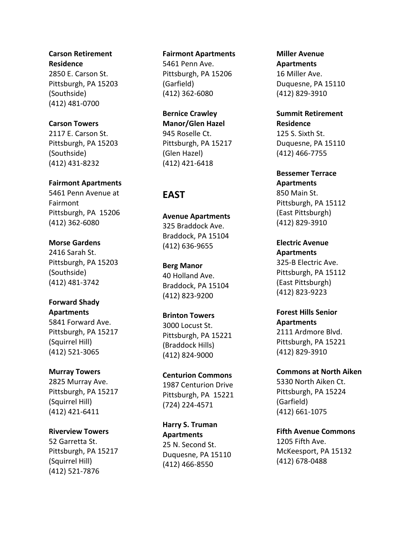### **Carson Retirement**

**Residence** 2850 E. Carson St. Pittsburgh, PA 15203 (Southside) (412) 481 -0700

### **Carson Towers**

2117 E. Carson St. Pittsburgh, PA 15203 (Southside) (412) 431 -8232

### **Fairmont Apartments**

5461 Penn Avenue at Fairmont Pittsburgh, PA 15206 (412) 362 -6080

### **Morse Gardens**

2416 Sarah St. Pittsburgh, PA 15203 (Southside) (412) 481 -3742

### **Forward Shady**

**Apartments** 5841 Forward Ave. Pittsburgh, PA 15217 (Squirrel Hill) (412) 521 -3065

### **Murray Towers**

2825 Murray Ave. Pittsburgh, PA 15217 (Squirrel Hill) (412) 421 -6411

### **Riverview Towers**

52 Garretta St. Pittsburgh, PA 15217 (Squirrel Hill) (412) 521 -7876

### **Fairmont Apartments**

5461 Penn Ave. Pittsburgh, PA 15206 (Garfield) (412) 362 -6080

### **Bernice Crawley Manor/Glen Hazel** 945 Roselle Ct. Pittsburgh, PA 15217 (Glen Hazel) (412) 421 -6418

## **EAST**

**Avenue Apartments** 325 Braddock Ave. Braddock, PA 15104 (412) 636 -9655

**Berg Manor** 40 Holland Ave. Braddock, PA 15104 (412) 823 -9200

### **Brinton Towers** 3000 Locust St. Pittsburgh, PA 15221 (Braddock Hills) (412) 824 -9000

**Centurion Commons** 1987 Centurion Drive Pittsburgh, PA 15221 (724) 224 -4571

**Harry S. Truman Apartments** 25 N. Second St. Duquesne, PA 15110 (412) 466 -8550

### **Miller Avenue Apartments** 16 Miller Ave. Duquesne, PA 15110 (412) 829 -3910

**Summit Retirement Residence** 125 S. Sixth St. Duquesne, PA 15110 (412) 466 -7755

**Bessemer Terrace Apartments** 850 Main St. Pittsburgh, PA 15112 (East Pittsburgh) (412) 829 -3910

**Electric Avenue Apartments** 325 -B Electric Ave. Pittsburgh, PA 15112 (East Pittsburgh) (412) 823 -9223

**Forest Hills Senior Apartments** 2111 Ardmore Blvd. Pittsburgh, PA 15221 (412) 829 -3910

**Commons at North Aiken** 5330 North Aiken Ct. Pittsburgh, PA 15224 (Garfield) (412) 661 -1075

**Fifth Avenue Commons** 1205 Fifth Ave. McKeesport, PA 15132 (412) 678 -0488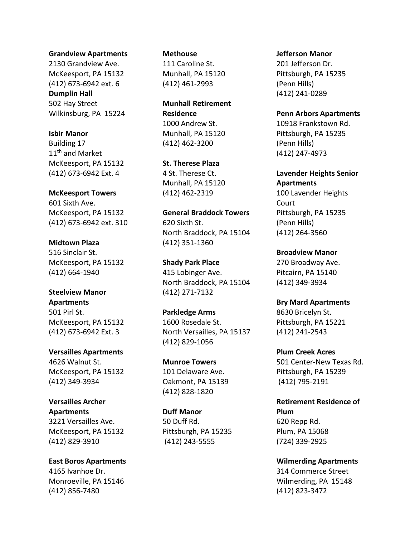#### **Grandview Apartments**

2130 Grandview Ave. McKeesport, PA 15132 (412) 673-6942 ext. 6 **Dumplin Hall** 502 Hay Street Wilkinsburg, PA 15224

### **Isbir Manor**

Building 17 11<sup>th</sup> and Market McKeesport, PA 15132 (412) 673-6942 Ext. 4

#### **McKeesport Towers**

601 Sixth Ave. McKeesport, PA 15132 (412) 673-6942 ext. 310

### **Midtown Plaza**

516 Sinclair St. McKeesport, PA 15132 (412) 664-1940

### **Steelview Manor Apartments**

501 Pirl St. McKeesport, PA 15132 (412) 673-6942 Ext. 3

**Versailles Apartments** 4626 Walnut St. McKeesport, PA 15132 (412) 349-3934

### **Versailles Archer Apartments** 3221 Versailles Ave. McKeesport, PA 15132 (412) 829-3910

**East Boros Apartments** 4165 Ivanhoe Dr. Monroeville, PA 15146 (412) 856-7480

### **Methouse**

111 Caroline St. Munhall, PA 15120 (412) 461-2993

**Munhall Retirement Residence** 1000 Andrew St. Munhall, PA 15120 (412) 462-3200

**St. Therese Plaza** 4 St. Therese Ct. Munhall, PA 15120 (412) 462-2319

#### **General Braddock Towers**

620 Sixth St. North Braddock, PA 15104 (412) 351-1360

**Shady Park Place** 415 Lobinger Ave. North Braddock, PA 15104 (412) 271-7132

**Parkledge Arms**  1600 Rosedale St. North Versailles, PA 15137 (412) 829-1056

**Munroe Towers**  101 Delaware Ave. Oakmont, PA 15139 (412) 828-1820

**Duff Manor** 50 Duff Rd. Pittsburgh, PA 15235 (412) 243-5555

#### **Jefferson Manor**

201 Jefferson Dr. Pittsburgh, PA 15235 (Penn Hills) (412) 241-0289

**Penn Arbors Apartments** 10918 Frankstown Rd. Pittsburgh, PA 15235 (Penn Hills) (412) 247-4973

**Lavender Heights Senior Apartments** 100 Lavender Heights Court Pittsburgh, PA 15235 (Penn Hills) (412) 264-3560

**Broadview Manor** 270 Broadway Ave. Pitcairn, PA 15140 (412) 349-3934

**Bry Mard Apartments** 8630 Bricelyn St. Pittsburgh, PA 15221 (412) 241-2543

**Plum Creek Acres** 501 Center-New Texas Rd. Pittsburgh, PA 15239 (412) 795-2191

**Retirement Residence of Plum** 620 Repp Rd. Plum, PA 15068 (724) 339-2925

**Wilmerding Apartments** 314 Commerce Street Wilmerding, PA 15148 (412) 823-3472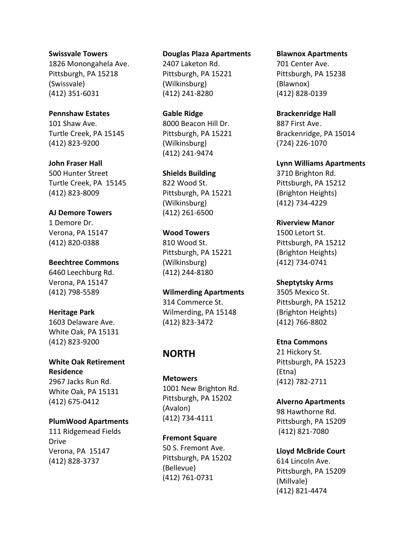#### **Swissvale Towers**

1826 Monongahela Ave. Pittsburgh, PA 15218 (Swissvale) (412) 351-6031

### **Pennshaw Estates**

101 Shaw Ave. Turtle Creek, PA 15145 (412) 823-9200

#### **John Fraser Hall**

500 Hunter Street Turtle Creek, PA 15145 (412) 823-8009

#### **AJ Demore Towers**

1 Demore Dr. Verona, PA 15147 (412) 820-0388

**Beechtree Commons** 6460 Leechburg Rd. Verona, PA 15147

### **Heritage Park**

(412) 798-5589

1603 Delaware Ave. White Oak, PA 15131 (412) 823-9200

**White Oak Retirement Residence**  2967 Jacks Run Rd. White Oak, PA 15131 (412) 675-0412

### **PlumWood Apartments** 111 Ridgemead Fields Drive Verona, PA 15147 (412) 828-3737

### **Douglas Plaza Apartments**

2407 Laketon Rd. Pittsburgh, PA 15221 (Wilkinsburg) (412) 241-8280

**Gable Ridge** 8000 Beacon Hill Dr. Pittsburgh, PA 15221 (Wilkinsburg) (412) 241-9474

**Shields Building** 822 Wood St. Pittsburgh, PA 15221 (Wilkinsburg) (412) 261-6500

**Wood Towers** 810 Wood St.

Pittsburgh, PA 15221 (Wilkinsburg) (412) 244-8180

**Wilmerding Apartments** 314 Commerce St. Wilmerding, PA 15148 (412) 823-3472

### **NORTH**

**Metowers** 1001 New Brighton Rd. Pittsburgh, PA 15202 (Avalon) (412) 734-4111

**Fremont Square** 50 S. Fremont Ave. Pittsburgh, PA 15202 (Bellevue) (412) 761-0731

### **Blawnox Apartments**

701 Center Ave. Pittsburgh, PA 15238 (Blawnox) (412) 828-0139

**Brackenridge Hall** 887 First Ave. Brackenridge, PA 15014 (724) 226-1070

**Lynn Williams Apartments** 3710 Brighton Rd. Pittsburgh, PA 15212 (Brighton Heights) (412) 734-4229

**Riverview Manor** 1500 Letort St. Pittsburgh, PA 15212 (Brighton Heights) (412) 734-0741

**Sheptytsky Arms** 3505 Mexico St. Pittsburgh, PA 15212 (Brighton Heights) (412) 766-8802

**Etna Commons** 21 Hickory St.

Pittsburgh, PA 15223 (Etna) (412) 782-2711

**Alverno Apartments**  98 Hawthorne Rd. Pittsburgh, PA 15209 (412) 821-7080

**Lloyd McBride Court** 614 Lincoln Ave. Pittsburgh, PA 15209 (Millvale) (412) 821-4474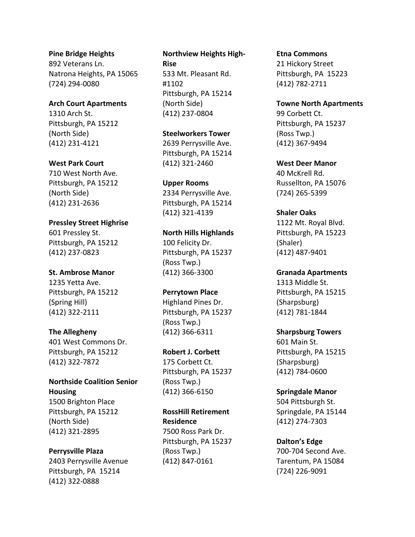### **Pine Bridge Heights**

892 Veterans Ln. Natrona Heights, PA 15065 (724) 294-0080

**Arch Court Apartments** 1310 Arch St. Pittsburgh, PA 15212 (North Side) (412) 231-4121

### **West Park Court**

710 West North Ave. Pittsburgh, PA 15212 (North Side) (412) 231-2636

**Pressley Street Highrise** 601 Pressley St.

Pittsburgh, PA 15212 (412) 237-0823

### **St. Ambrose Manor**

1235 Yetta Ave. Pittsburgh, PA 15212 (Spring Hill) (412) 322-2111

### **The Allegheny**

401 West Commons Dr. Pittsburgh, PA 15212 (412) 322-7872

**Northside Coalition Senior Housing** 1500 Brighton Place Pittsburgh, PA 15212 (North Side)

### **Perrysville Plaza**

(412) 321-2895

2403 Perrysville Avenue Pittsburgh, PA 15214 (412) 322-0888

### **Northview Heights High-Rise** 533 Mt. Pleasant Rd. #1102 Pittsburgh, PA 15214 (North Side)

**Steelworkers Tower** 2639 Perrysville Ave. Pittsburgh, PA 15214 (412) 321-2460

(412) 237-0804

### **Upper Rooms**

2334 Perrysville Ave. Pittsburgh, PA 15214 (412) 321-4139

**North Hills Highlands** 100 Felicity Dr. Pittsburgh, PA 15237 (Ross Twp.) (412) 366-3300

**Perrytown Place** Highland Pines Dr. Pittsburgh, PA 15237

(Ross Twp.) (412) 366-6311

### **Robert J. Corbett**

175 Corbett Ct. Pittsburgh, PA 15237 (Ross Twp.) (412) 366-6150

**RossHill Retirement Residence** 7500 Ross Park Dr. Pittsburgh, PA 15237 (Ross Twp.) (412) 847-0161

#### **Etna Commons**

21 Hickory Street Pittsburgh, PA 15223 (412) 782-2711

**Towne North Apartments** 99 Corbett Ct. Pittsburgh, PA 15237 (Ross Twp.) (412) 367-9494

**West Deer Manor** 40 McKrell Rd. Russellton, PA 15076 (724) 265-5399

**Shaler Oaks** 1122 Mt. Royal Blvd. Pittsburgh, PA 15223 (Shaler) (412) 487-9401

**Granada Apartments** 1313 Middle St. Pittsburgh, PA 15215 (Sharpsburg) (412) 781-1844

### **Sharpsburg Towers**

601 Main St. Pittsburgh, PA 15215 (Sharpsburg) (412) 784-0600

### **Springdale Manor**

504 Pittsburgh St. Springdale, PA 15144 (412) 274-7303

### **Dalton's Edge**

700-704 Second Ave. Tarentum, PA 15084 (724) 226-9091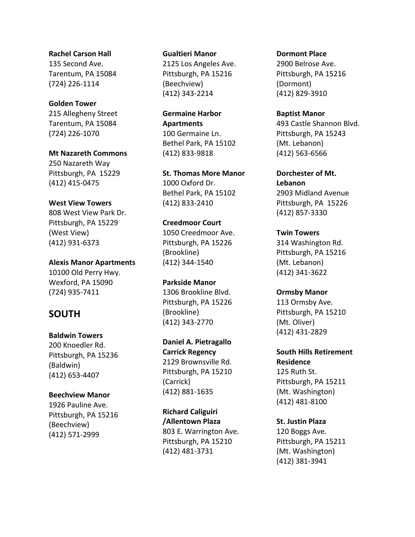**Rachel Carson Hall** 135 Second Ave. Tarentum, PA 15084 (724) 226-1114

**Golden Tower**

215 Allegheny Street Tarentum, PA 15084 (724) 226-1070

**Mt Nazareth Commons**

250 Nazareth Way Pittsburgh, PA 15229 (412) 415-0475

**West View Towers**

808 West View Park Dr. Pittsburgh, PA 15229 (West View) (412) 931-6373

**Alexis Manor Apartments** 10100 Old Perry Hwy. Wexford, PA 15090 (724) 935-7411

# **SOUTH**

**Baldwin Towers**

200 Knoedler Rd. Pittsburgh, PA 15236 (Baldwin) (412) 653-4407

### **Beechview Manor**

1926 Pauline Ave. Pittsburgh, PA 15216 (Beechview) (412) 571-2999

### **Gualtieri Manor**

2125 Los Angeles Ave. Pittsburgh, PA 15216 (Beechview) (412) 343-2214

**Germaine Harbor Apartments** 100 Germaine Ln. Bethel Park, PA 15102 (412) 833-9818

**St. Thomas More Manor** 1000 Oxford Dr. Bethel Park, PA 15102 (412) 833-2410

**Creedmoor Court** 1050 Creedmoor Ave. Pittsburgh, PA 15226 (Brookline) (412) 344-1540

**Parkside Manor**  1306 Brookline Blvd. Pittsburgh, PA 15226 (Brookline) (412) 343-2770

**Daniel A. Pietragallo Carrick Regency** 2129 Brownsville Rd. Pittsburgh, PA 15210 (Carrick) (412) 881-1635

**Richard Caliguiri /Allentown Plaza** 803 E. Warrington Ave. Pittsburgh, PA 15210 (412) 481-3731

**Dormont Place** 2900 Belrose Ave. Pittsburgh, PA 15216 (Dormont)

(412) 829-3910

**Baptist Manor** 493 Castle Shannon Blvd. Pittsburgh, PA 15243 (Mt. Lebanon) (412) 563-6566

**Dorchester of Mt. Lebanon** 2903 Midland Avenue Pittsburgh, PA 15226 (412) 857-3330

**Twin Towers** 314 Washington Rd. Pittsburgh, PA 15216 (Mt. Lebanon) (412) 341-3622

**Ormsby Manor** 113 Ormsby Ave. Pittsburgh, PA 15210 (Mt. Oliver) (412) 431-2829

**South Hills Retirement Residence** 125 Ruth St. Pittsburgh, PA 15211 (Mt. Washington) (412) 481-8100

**St. Justin Plaza** 120 Boggs Ave. Pittsburgh, PA 15211 (Mt. Washington) (412) 381-3941